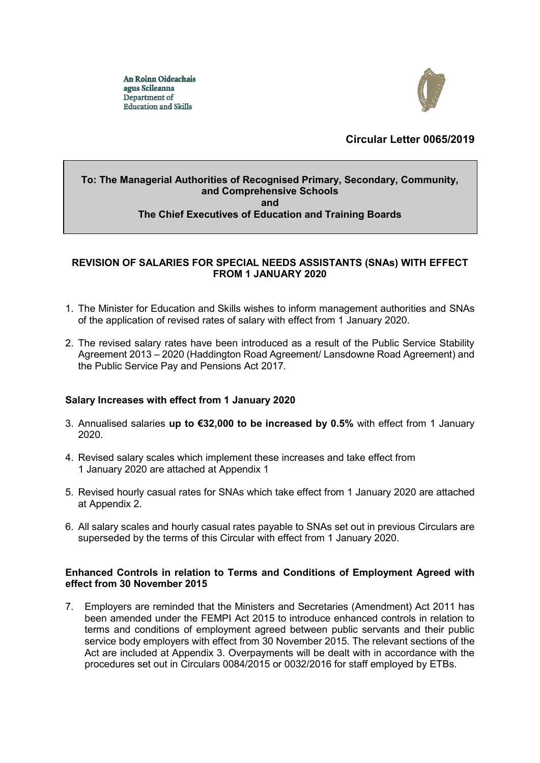An Roinn Oideachais agus Scileanna Department of **Education and Skills** 



# **Circular Letter 0065/2019**

## **To: The Managerial Authorities of Recognised Primary, Secondary, Community, and Comprehensive Schools and The Chief Executives of Education and Training Boards**

## **REVISION OF SALARIES FOR SPECIAL NEEDS ASSISTANTS (SNAs) WITH EFFECT FROM 1 JANUARY 2020**

- 1. The Minister for Education and Skills wishes to inform management authorities and SNAs of the application of revised rates of salary with effect from 1 January 2020.
- 2. The revised salary rates have been introduced as a result of the Public Service Stability Agreement 2013 – 2020 (Haddington Road Agreement/ Lansdowne Road Agreement) and the Public Service Pay and Pensions Act 2017.

## **Salary Increases with effect from 1 January 2020**

- 3. Annualised salaries **up to €32,000 to be increased by 0.5%** with effect from 1 January 2020.
- 4. Revised salary scales which implement these increases and take effect from 1 January 2020 are attached at Appendix 1
- 5. Revised hourly casual rates for SNAs which take effect from 1 January 2020 are attached at Appendix 2.
- 6. All salary scales and hourly casual rates payable to SNAs set out in previous Circulars are superseded by the terms of this Circular with effect from 1 January 2020.

#### **Enhanced Controls in relation to Terms and Conditions of Employment Agreed with effect from 30 November 2015**

7. Employers are reminded that the Ministers and Secretaries (Amendment) Act 2011 has been amended under the FEMPI Act 2015 to introduce enhanced controls in relation to terms and conditions of employment agreed between public servants and their public service body employers with effect from 30 November 2015. The relevant sections of the Act are included at Appendix 3. Overpayments will be dealt with in accordance with the procedures set out in Circulars 0084/2015 or 0032/2016 for staff employed by ETBs.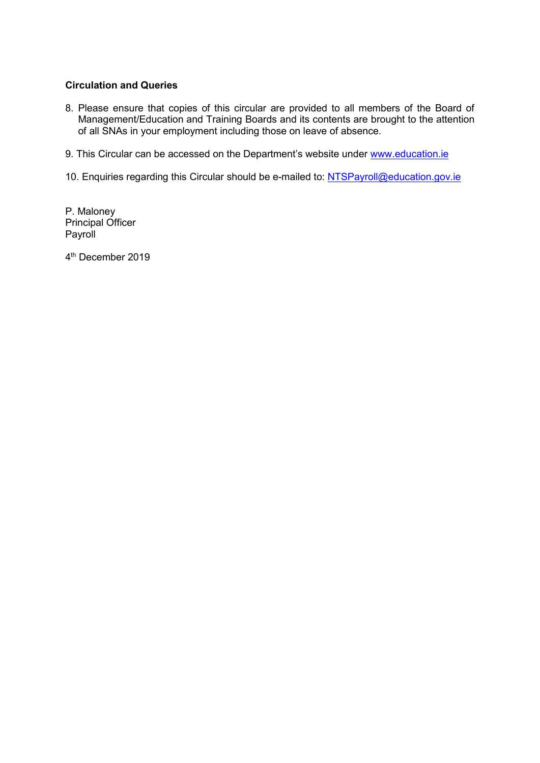# **Circulation and Queries**

- 8. Please ensure that copies of this circular are provided to all members of the Board of Management/Education and Training Boards and its contents are brought to the attention of all SNAs in your employment including those on leave of absence.
- 9. This Circular can be accessed on the Department's website under www.education.ie
- 10. Enquiries regarding this Circular should be e-mailed to: [NTSPayroll@education.gov.ie](mailto:NTSPayroll@education.gov.ie)

P. Maloney Principal Officer Payroll

4 th December 2019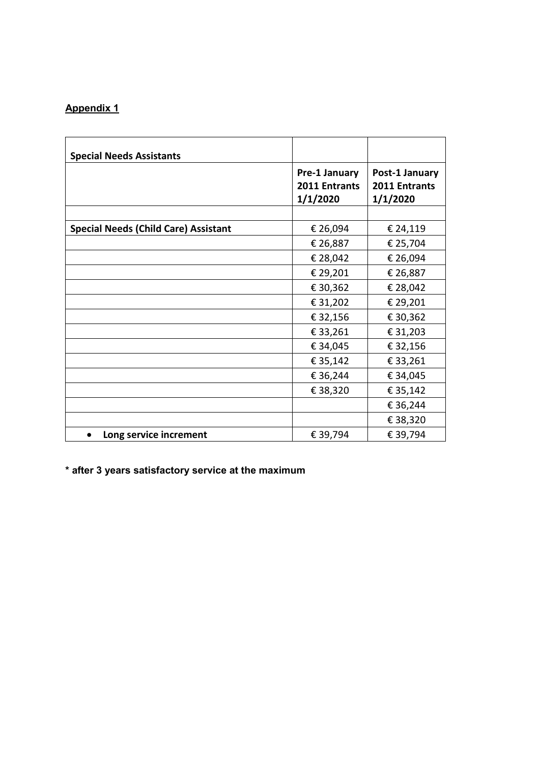# **Appendix 1**

| <b>Special Needs Assistants</b>             |                                            |                                             |
|---------------------------------------------|--------------------------------------------|---------------------------------------------|
|                                             | Pre-1 January<br>2011 Entrants<br>1/1/2020 | Post-1 January<br>2011 Entrants<br>1/1/2020 |
|                                             |                                            |                                             |
| <b>Special Needs (Child Care) Assistant</b> | € 26,094                                   | € 24,119                                    |
|                                             | € 26,887                                   | € 25,704                                    |
|                                             | € 28,042                                   | € 26,094                                    |
|                                             | € 29,201                                   | € 26,887                                    |
|                                             | € 30,362                                   | € 28,042                                    |
|                                             | € 31,202                                   | € 29,201                                    |
|                                             | € 32,156                                   | € 30,362                                    |
|                                             | € 33,261                                   | € 31,203                                    |
|                                             | € 34,045                                   | € 32,156                                    |
|                                             | € 35,142                                   | € 33,261                                    |
|                                             | € 36,244                                   | € 34,045                                    |
|                                             | € 38,320                                   | € 35,142                                    |
|                                             |                                            | € 36,244                                    |
|                                             |                                            | € 38,320                                    |
| Long service increment                      | € 39,794                                   | € 39,794                                    |

**\* after 3 years satisfactory service at the maximum**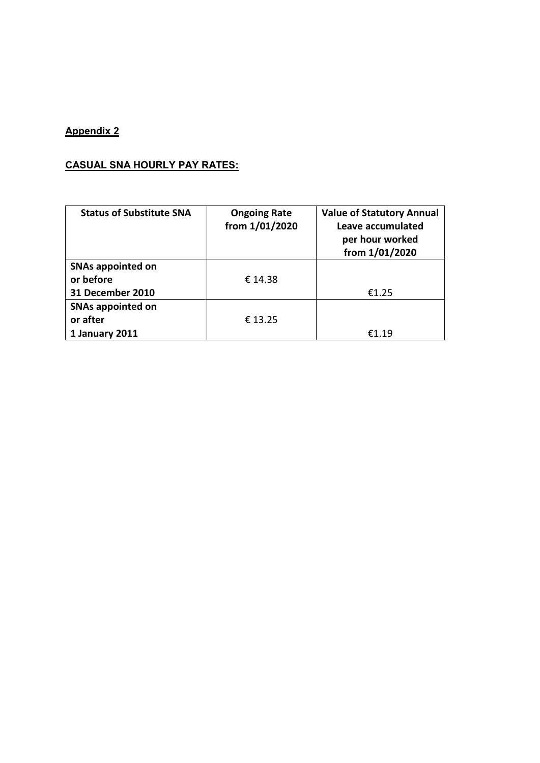# **Appendix 2**

# **CASUAL SNA HOURLY PAY RATES:**

| <b>Status of Substitute SNA</b>                           | <b>Ongoing Rate</b><br>from 1/01/2020 | <b>Value of Statutory Annual</b><br>Leave accumulated<br>per hour worked<br>from 1/01/2020 |
|-----------------------------------------------------------|---------------------------------------|--------------------------------------------------------------------------------------------|
| <b>SNAs appointed on</b><br>or before<br>31 December 2010 | € 14.38                               | €1.25                                                                                      |
| <b>SNAs appointed on</b><br>or after<br>1 January 2011    | € 13.25                               | £1.19                                                                                      |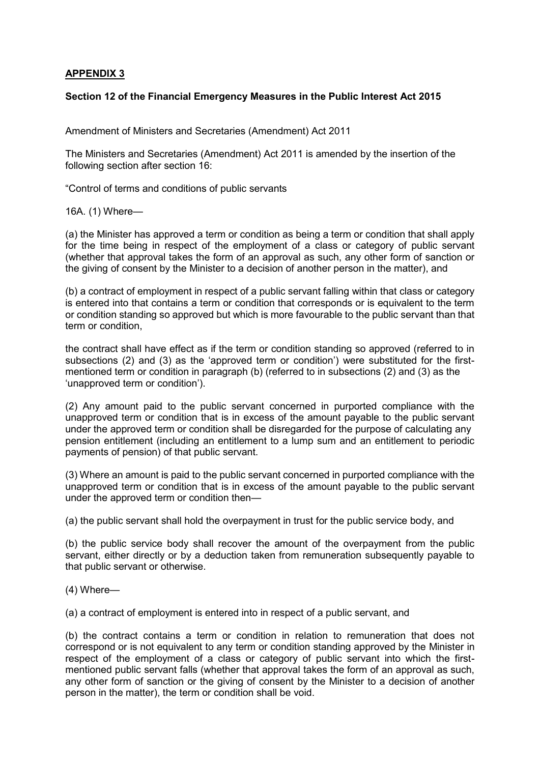## **APPENDIX 3**

### **Section 12 of the Financial Emergency Measures in the Public Interest Act 2015**

Amendment of Ministers and Secretaries (Amendment) Act 2011

The Ministers and Secretaries (Amendment) Act 2011 is amended by the insertion of the following section after section 16:

"Control of terms and conditions of public servants

16A. (1) Where—

(a) the Minister has approved a term or condition as being a term or condition that shall apply for the time being in respect of the employment of a class or category of public servant (whether that approval takes the form of an approval as such, any other form of sanction or the giving of consent by the Minister to a decision of another person in the matter), and

(b) a contract of employment in respect of a public servant falling within that class or category is entered into that contains a term or condition that corresponds or is equivalent to the term or condition standing so approved but which is more favourable to the public servant than that term or condition,

the contract shall have effect as if the term or condition standing so approved (referred to in subsections (2) and (3) as the 'approved term or condition') were substituted for the firstmentioned term or condition in paragraph (b) (referred to in subsections (2) and (3) as the 'unapproved term or condition').

(2) Any amount paid to the public servant concerned in purported compliance with the unapproved term or condition that is in excess of the amount payable to the public servant under the approved term or condition shall be disregarded for the purpose of calculating any pension entitlement (including an entitlement to a lump sum and an entitlement to periodic payments of pension) of that public servant.

(3) Where an amount is paid to the public servant concerned in purported compliance with the unapproved term or condition that is in excess of the amount payable to the public servant under the approved term or condition then—

(a) the public servant shall hold the overpayment in trust for the public service body, and

(b) the public service body shall recover the amount of the overpayment from the public servant, either directly or by a deduction taken from remuneration subsequently payable to that public servant or otherwise.

(4) Where—

(a) a contract of employment is entered into in respect of a public servant, and

(b) the contract contains a term or condition in relation to remuneration that does not correspond or is not equivalent to any term or condition standing approved by the Minister in respect of the employment of a class or category of public servant into which the firstmentioned public servant falls (whether that approval takes the form of an approval as such, any other form of sanction or the giving of consent by the Minister to a decision of another person in the matter), the term or condition shall be void.